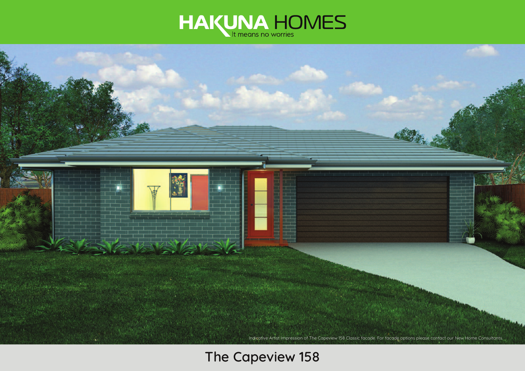



# **The Capeview 158**